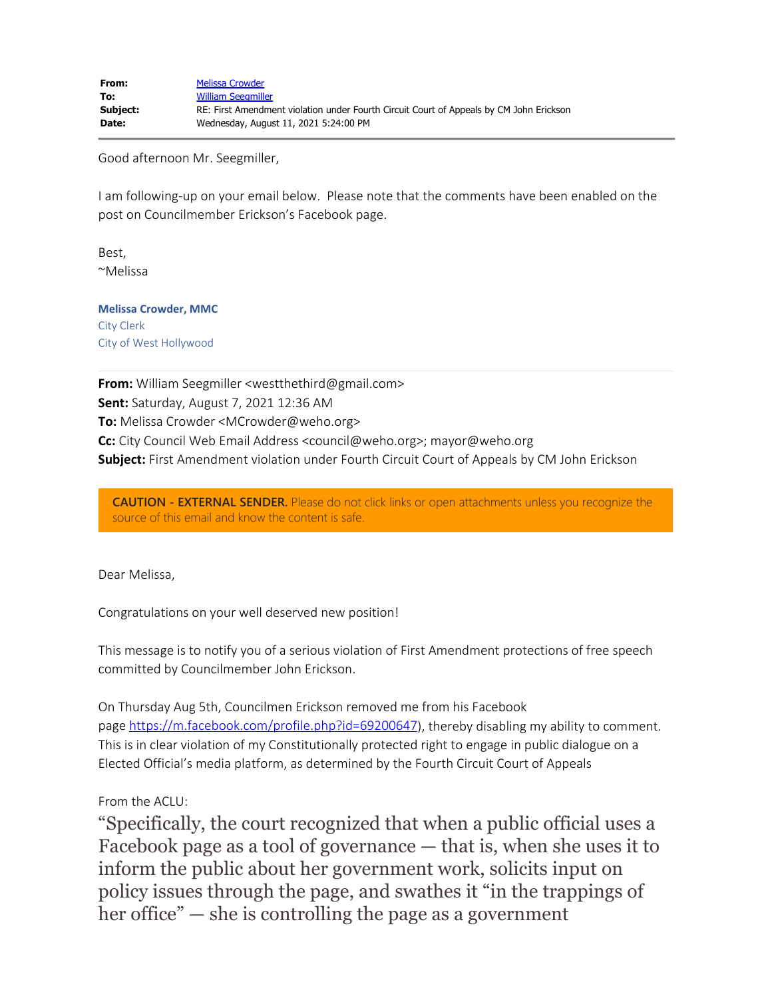Good afternoon Mr. Seegmiller,

I am following-up on your email below. Please note that the comments have been enabled on the post on Councilmember Erickson's Facebook page.

Best, ~Melissa

**Melissa Crowder, MMC** City Clerk City of West Hollywood

**From:** William Seegmiller <westthethird@gmail.com> **Sent:** Saturday, August 7, 2021 12:36 AM **To:** Melissa Crowder <MCrowder@weho.org> **Cc:** City Council Web Email Address <council@weho.org>; mayor@weho.org **Subject:** First Amendment violation under Fourth Circuit Court of Appeals by CM John Erickson

**CAUTION - EXTERNAL SENDER.** Please do not click links or open attachments unless you recognize the source of this email and know the content is safe.

Dear Melissa,

Congratulations on your well deserved new position!

This message is to notify you of a serious violation of First Amendment protections of free speech committed by Councilmember John Erickson.

On Thursday Aug 5th, Councilmen Erickson removed me from his Facebook page [https://m.facebook.com/profile.php?id=69200647](https://gcc02.safelinks.protection.outlook.com/?url=https%3A%2F%2Fm.facebook.com%2Fprofile.php%3Fid%3D69200647%26ref%3Dcontent_filter&data=04%7C01%7Cmcrowder%40weho.org%7C49bebe7e514441f3fea508d959761094%7C0432d4aa7c0a41beaa40f696e053e546%7C0%7C0%7C637639185911777650%7CUnknown%7CTWFpbGZsb3d8eyJWIjoiMC4wLjAwMDAiLCJQIjoiV2luMzIiLCJBTiI6Ik1haWwiLCJXVCI6Mn0%3D%7C1000&sdata=FPhCehEjyRruhP%2BgUwRC8lbGRJbu0lm1rn0jFiZZf9I%3D&reserved=0)), thereby disabling my ability to comment. This is in clear violation of my Constitutionally protected right to engage in public dialogue on a Elected Official's media platform, as determined by the Fourth Circuit Court of Appeals

From the ACLU:

"Specifically, the court recognized that when a public official uses a Facebook page as a tool of governance — that is, when she uses it to inform the public about her government work, solicits input on policy issues through the page, and swathes it "in the trappings of her office" — she is controlling the page as a government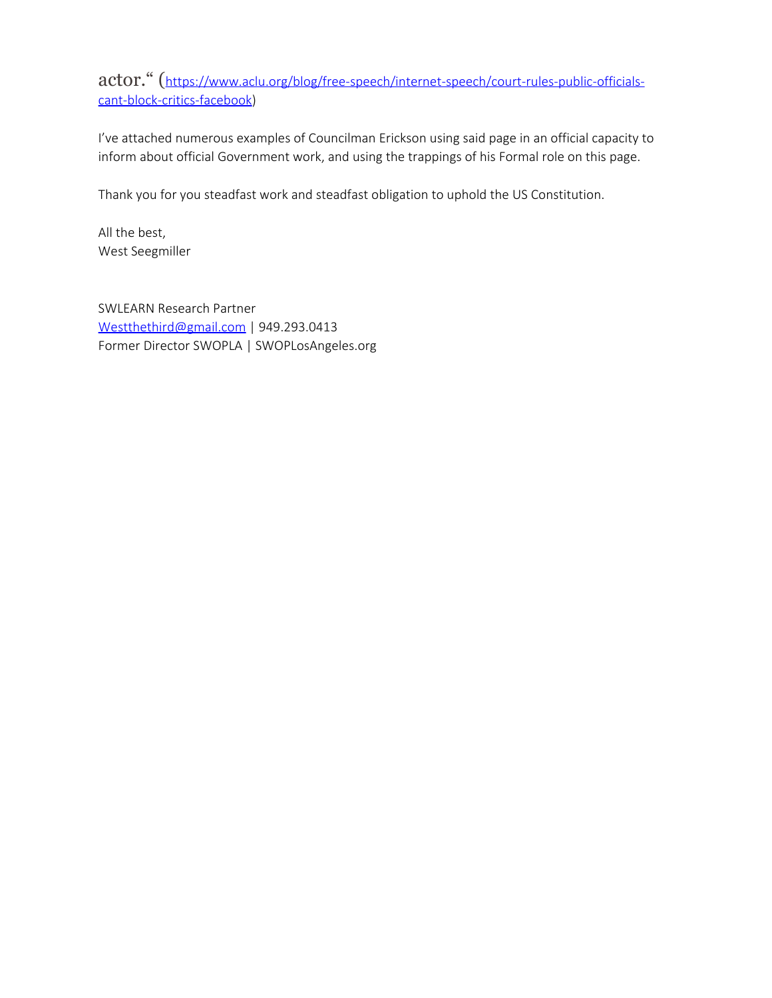actor." ([https://www.aclu.org/blog/free-speech/internet-speech/court-rules-public-officials](https://gcc02.safelinks.protection.outlook.com/?url=https%3A%2F%2Fwww.aclu.org%2Fblog%2Ffree-speech%2Finternet-speech%2Fcourt-rules-public-officials-cant-block-critics-facebook&data=04%7C01%7Cmcrowder%40weho.org%7C49bebe7e514441f3fea508d959761094%7C0432d4aa7c0a41beaa40f696e053e546%7C0%7C0%7C637639185911787607%7CUnknown%7CTWFpbGZsb3d8eyJWIjoiMC4wLjAwMDAiLCJQIjoiV2luMzIiLCJBTiI6Ik1haWwiLCJXVCI6Mn0%3D%7C1000&sdata=vqa4DwUxhHuQKtLXvgHKnN3E7XRgV5IrMkaLdVPmKCc%3D&reserved=0)[cant-block-critics-facebook\)](https://gcc02.safelinks.protection.outlook.com/?url=https%3A%2F%2Fwww.aclu.org%2Fblog%2Ffree-speech%2Finternet-speech%2Fcourt-rules-public-officials-cant-block-critics-facebook&data=04%7C01%7Cmcrowder%40weho.org%7C49bebe7e514441f3fea508d959761094%7C0432d4aa7c0a41beaa40f696e053e546%7C0%7C0%7C637639185911787607%7CUnknown%7CTWFpbGZsb3d8eyJWIjoiMC4wLjAwMDAiLCJQIjoiV2luMzIiLCJBTiI6Ik1haWwiLCJXVCI6Mn0%3D%7C1000&sdata=vqa4DwUxhHuQKtLXvgHKnN3E7XRgV5IrMkaLdVPmKCc%3D&reserved=0)

I've attached numerous examples of Councilman Erickson using said page in an official capacity to inform about official Government work, and using the trappings of his Formal role on this page.

Thank you for you steadfast work and steadfast obligation to uphold the US Constitution.

All the best, West Seegmiller

SWLEARN Research Partner [Westthethird@gmail.com](mailto:Westthethird@gmail.com) | 949.293.0413 Former Director SWOPLA | SWOPLosAngeles.org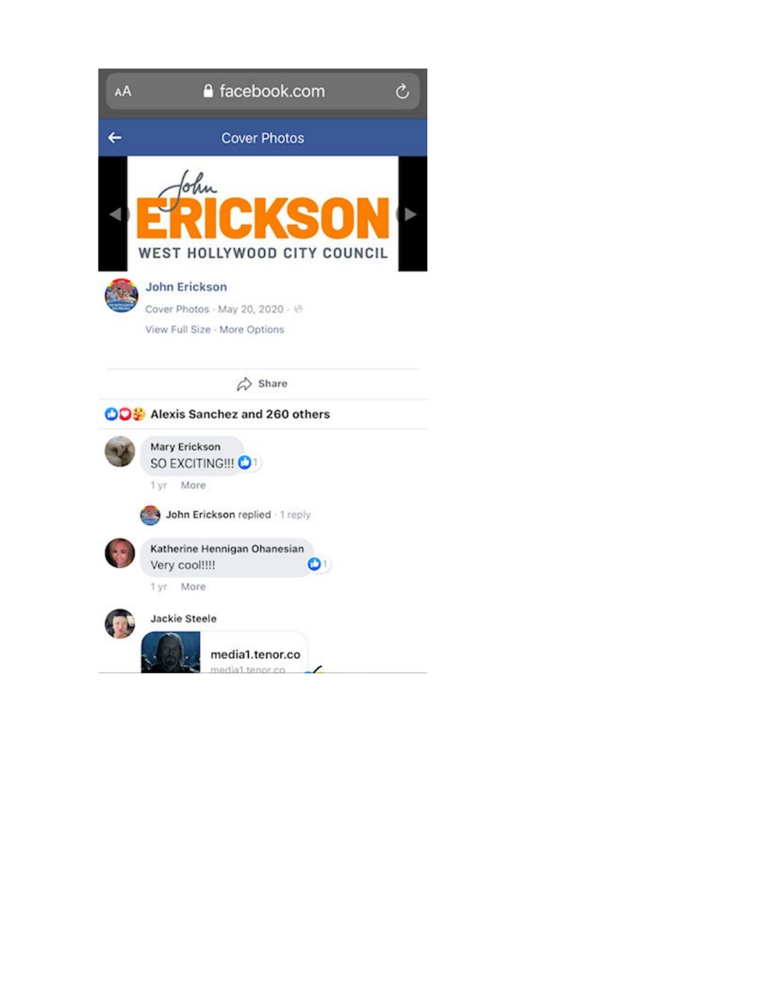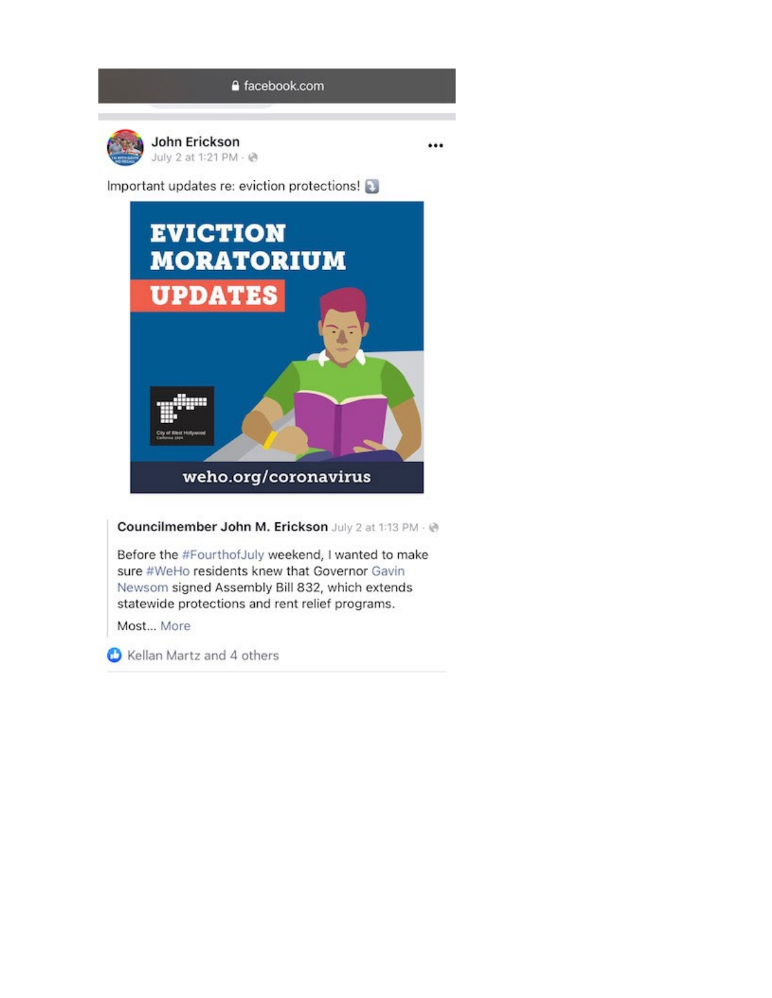...



Important updates re: eviction protections!



Councilmember John M. Erickson July 2 at 1:13 PM - @

Before the #FourthofJuly weekend, I wanted to make sure #WeHo residents knew that Governor Gavin Newsom signed Assembly Bill 832, which extends statewide protections and rent relief programs.

Most... More

Kellan Martz and 4 others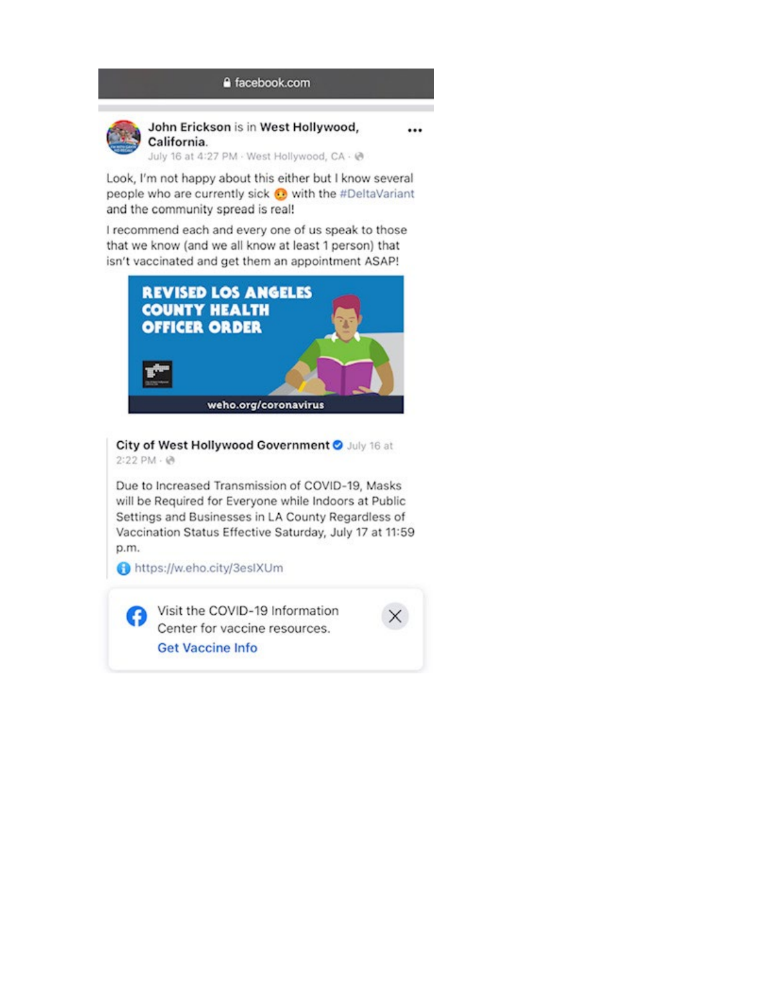## a facebook.com



John Erickson is in West Hollywood, California.

...

July 16 at 4:27 PM - West Hollywood, CA - @

Look, I'm not happy about this either but I know several people who are currently sick @ with the #DeltaVariant and the community spread is real!

I recommend each and every one of us speak to those that we know (and we all know at least 1 person) that isn't vaccinated and get them an appointment ASAP!



City of West Hollywood Government O July 16 at  $2:22$  PM  $\cdot$  @

Due to Increased Transmission of COVID-19, Masks will be Required for Everyone while Indoors at Public Settings and Businesses in LA County Regardless of Vaccination Status Effective Saturday, July 17 at 11:59 p.m.

https://w.eho.city/3esIXUm

Visit the COVID-19 Information Center for vaccine resources. **Get Vaccine Info**